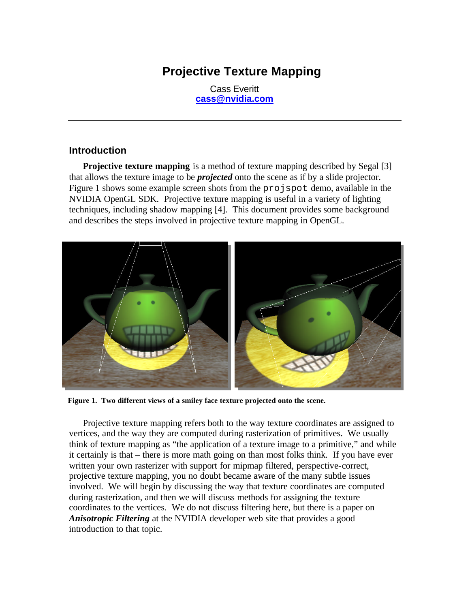# **Projective Texture Mapping**

Cass Everitt **cass@nvidia.com**

#### **Introduction**

**Projective texture mapping** is a method of texture mapping described by Segal [3] that allows the texture image to be *projected* onto the scene as if by a slide projector. Figure 1 shows some example screen shots from the projspot demo, available in the NVIDIA OpenGL SDK. Projective texture mapping is useful in a variety of lighting techniques, including shadow mapping [4]. This document provides some background and describes the steps involved in projective texture mapping in OpenGL.



**Figure 1. Two different views of a smiley face texture projected onto the scene.**

Projective texture mapping refers both to the way texture coordinates are assigned to vertices, and the way they are computed during rasterization of primitives. We usually think of texture mapping as "the application of a texture image to a primitive," and while it certainly is that – there is more math going on than most folks think. If you have ever written your own rasterizer with support for mipmap filtered, perspective-correct, projective texture mapping, you no doubt became aware of the many subtle issues involved. We will begin by discussing the way that texture coordinates are computed during rasterization, and then we will discuss methods for assigning the texture coordinates to the vertices. We do not discuss filtering here, but there is a paper on *Anisotropic Filtering* at the NVIDIA developer web site that provides a good introduction to that topic.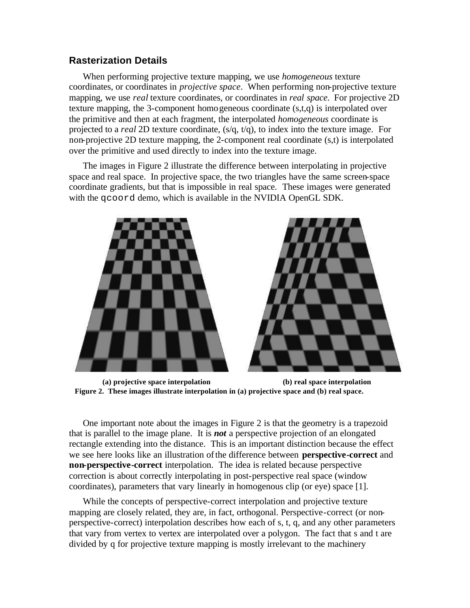### **Rasterization Details**

When performing projective texture mapping, we use *homogeneous* texture coordinates, or coordinates in *projective space*. When performing non-projective texture mapping, we use *real* texture coordinates, or coordinates in *real space*. For projective 2D texture mapping, the 3-component homogeneous coordinate (s,t,q) is interpolated over the primitive and then at each fragment, the interpolated *homogeneous* coordinate is projected to a *real* 2D texture coordinate, (s/q, t/q), to index into the texture image. For non-projective 2D texture mapping, the 2-component real coordinate (s,t) is interpolated over the primitive and used directly to index into the texture image.

The images in Figure 2 illustrate the difference between interpolating in projective space and real space. In projective space, the two triangles have the same screen-space coordinate gradients, but that is impossible in real space. These images were generated with the qcoord demo, which is available in the NVIDIA OpenGL SDK.





**(a) projective space interpolation (b) real space interpolation Figure 2. These images illustrate interpolation in (a) projective space and (b) real space.**

One important note about the images in Figure 2 is that the geometry is a trapezoid that is parallel to the image plane. It is *not* a perspective projection of an elongated rectangle extending into the distance. This is an important distinction because the effect we see here looks like an illustration of the difference between **perspective-correct** and **non-perspective-correct** interpolation. The idea is related because perspective correction is about correctly interpolating in post-perspective real space (window coordinates), parameters that vary linearly in homogenous clip (or eye) space [1].

While the concepts of perspective-correct interpolation and projective texture mapping are closely related, they are, in fact, orthogonal. Perspective-correct (or nonperspective-correct) interpolation describes how each of s, t, q, and any other parameters that vary from vertex to vertex are interpolated over a polygon. The fact that s and t are divided by q for projective texture mapping is mostly irrelevant to the machinery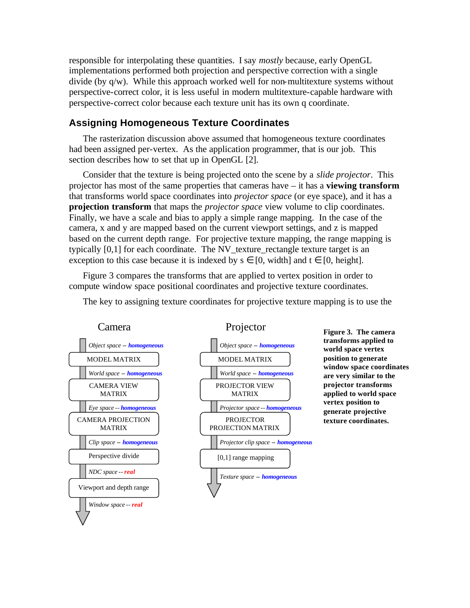responsible for interpolating these quantities. I say *mostly* because, early OpenGL implementations performed both projection and perspective correction with a single divide (by  $q/w$ ). While this approach worked well for non-multitexture systems without perspective-correct color, it is less useful in modern multitexture-capable hardware with perspective-correct color because each texture unit has its own q coordinate.

#### **Assigning Homogeneous Texture Coordinates**

The rasterization discussion above assumed that homogeneous texture coordinates had been assigned per-vertex. As the application programmer, that is our job. This section describes how to set that up in OpenGL [2].

Consider that the texture is being projected onto the scene by a *slide projector*. This projector has most of the same properties that cameras have – it has a **viewing transform** that transforms world space coordinates into *projector space* (or eye space), and it has a **projection transform** that maps the *projector space* view volume to clip coordinates. Finally, we have a scale and bias to apply a simple range mapping. In the case of the camera, x and y are mapped based on the current viewport settings, and z is mapped based on the current depth range. For projective texture mapping, the range mapping is typically [0,1] for each coordinate. The NV\_texture\_rectangle texture target is an exception to this case because it is indexed by  $s \in [0, \text{width}]$  and  $t \in [0, \text{height}]$ .

Figure 3 compares the transforms that are applied to vertex position in order to compute window space positional coordinates and projective texture coordinates.



The key to assigning texture coordinates for projective texture mapping is to use the

**transforms applied to world space vertex position to generate window space coordinates are very similar to the projector transforms applied to world space vertex position to generate projective texture coordinates.**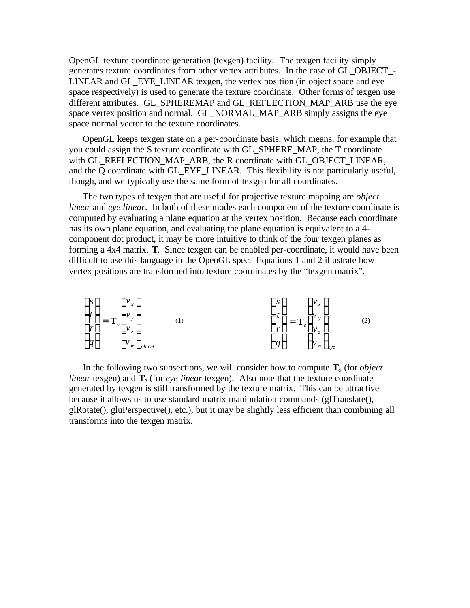OpenGL texture coordinate generation (texgen) facility. The texgen facility simply generates texture coordinates from other vertex attributes. In the case of GL\_OBJECT\_- LINEAR and GL\_EYE\_LINEAR texgen, the vertex position (in object space and eye space respectively) is used to generate the texture coordinate. Other forms of texgen use different attributes. GL\_SPHEREMAP and GL\_REFLECTION\_MAP\_ARB use the eye space vertex position and normal. GL\_NORMAL\_MAP\_ARB simply assigns the eye space normal vector to the texture coordinates.

OpenGL keeps texgen state on a per-coordinate basis, which means, for example that you could assign the S texture coordinate with GL\_SPHERE\_MAP, the T coordinate with GL\_REFLECTION\_MAP\_ARB, the R coordinate with GL\_OBJECT\_LINEAR, and the Q coordinate with GL\_EYE\_LINEAR. This flexibility is not particularly useful, though, and we typically use the same form of texgen for all coordinates.

The two types of texgen that are useful for projective texture mapping are *object linear* and *eye linear*. In both of these modes each component of the texture coordinate is computed by evaluating a plane equation at the vertex position. Because each coordinate has its own plane equation, and evaluating the plane equation is equivalent to a 4 component dot product, it may be more intuitive to think of the four texgen planes as forming a 4x4 matrix, **T**. Since texgen can be enabled per-coordinate, it would have been difficult to use this language in the OpenGL spec. Equations 1 and 2 illustrate how vertex positions are transformed into texture coordinates by the "texgen matrix".

$$
\begin{bmatrix} s \\ t \\ r \\ q \end{bmatrix} = \mathbf{T}_o \begin{bmatrix} v_x \\ v_y \\ v_z \\ v_w \end{bmatrix}_{object} \tag{1}
$$

In the following two subsections, we will consider how to compute  $\mathbf{T}_o$  (for *object linear* texgen) and **T***e* (for *eye linear* texgen). Also note that the texture coordinate generated by texgen is still transformed by the texture matrix. This can be attractive because it allows us to use standard matrix manipulation commands (glTranslate(), glRotate(), gluPerspective(), etc.), but it may be slightly less efficient than combining all transforms into the texgen matrix.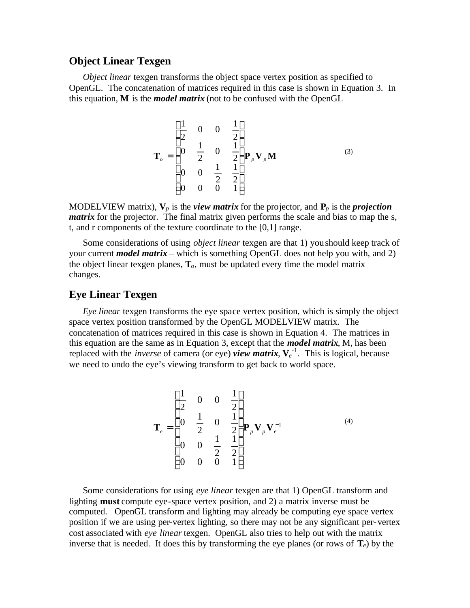### **Object Linear Texgen**

*Object linear* texgen transforms the object space vertex position as specified to OpenGL. The concatenation of matrices required in this case is shown in Equation 3. In this equation, **M** is the *model matrix* (not to be confused with the OpenGL

$$
\mathbf{T}_o = \begin{bmatrix} \frac{1}{2} & 0 & 0 & \frac{1}{2} \\ 0 & \frac{1}{2} & 0 & \frac{1}{2} \\ 0 & 0 & \frac{1}{2} & \frac{1}{2} \\ 0 & 0 & 0 & 1 \end{bmatrix} \mathbf{P}_p \mathbf{V}_p \mathbf{M}
$$
 (3)

MODELVIEW matrix),  $V_p$  is the *view matrix* for the projector, and  $P_p$  is the *projection matrix* for the projector. The final matrix given performs the scale and bias to map the s, t, and r components of the texture coordinate to the [0,1] range.

Some considerations of using *object linear* texgen are that 1) you should keep track of your current *model matrix* – which is something OpenGL does not help you with, and 2) the object linear texgen planes, **T***o*, must be updated every time the model matrix changes.

#### **Eye Linear Texgen**

*Eye linear* texgen transforms the eye space vertex position, which is simply the object space vertex position transformed by the OpenGL MODELVIEW matrix. The concatenation of matrices required in this case is shown in Equation 4. The matrices in this equation are the same as in Equation 3, except that the *model matrix*, M, has been replaced with the *inverse* of camera (or eye) *view matrix*,  $V_e^{-1}$ . This is logical, because we need to undo the eye's viewing transform to get back to world space.

$$
\mathbf{T}_{e} = \begin{bmatrix} \frac{1}{2} & 0 & 0 & \frac{1}{2} \\ 0 & \frac{1}{2} & 0 & \frac{1}{2} \\ 0 & 0 & \frac{1}{2} & \frac{1}{2} \\ 0 & 0 & 0 & 1 \end{bmatrix} \mathbf{P}_{p} \mathbf{V}_{p} \mathbf{V}_{e}^{-1}
$$
 (4)

Some considerations for using *eye linear* texgen are that 1) OpenGL transform and lighting **must** compute eye-space vertex position, and 2) a matrix inverse must be computed. OpenGL transform and lighting may already be computing eye space vertex position if we are using per-vertex lighting, so there may not be any significant per-vertex cost associated with *eye linear* texgen. OpenGL also tries to help out with the matrix inverse that is needed. It does this by transforming the eye planes (or rows of  $\mathbf{T}_e$ ) by the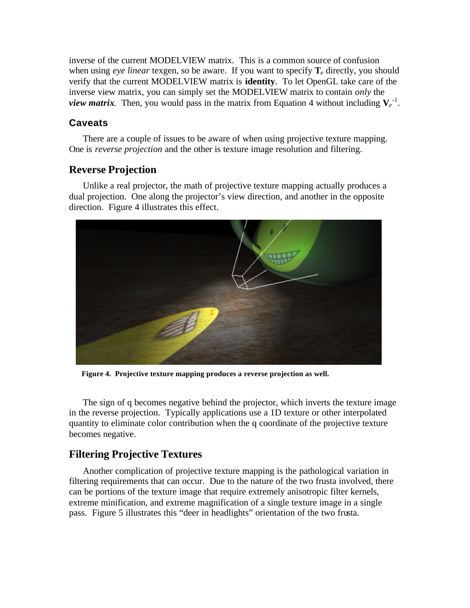inverse of the current MODELVIEW matrix. This is a common source of confusion when using *eye linear* texgen, so be aware. If you want to specify  $T_e$  directly, you should verify that the current MODELVIEW matrix is **identity**. To let OpenGL take care of the inverse view matrix, you can simply set the MODELVIEW matrix to contain *only* the *view matrix.* Then, you would pass in the matrix from Equation 4 without including  $V_e^{-1}$ .

### **Caveats**

There are a couple of issues to be aware of when using projective texture mapping. One is *reverse projection* and the other is texture image resolution and filtering.

## **Reverse Projection**

Unlike a real projector, the math of projective texture mapping actually produces a dual projection. One along the projector's view direction, and another in the opposite direction. Figure 4 illustrates this effect.



**Figure 4. Projective texture mapping produces a reverse projection as well.**

The sign of q becomes negative behind the projector, which inverts the texture image in the reverse projection. Typically applications use a 1D texture or other interpolated quantity to eliminate color contribution when the q coordinate of the projective texture becomes negative.

# **Filtering Projective Textures**

Another complication of projective texture mapping is the pathological variation in filtering requirements that can occur. Due to the nature of the two frusta involved, there can be portions of the texture image that require extremely anisotropic filter kernels, extreme minification, and extreme magnification of a single texture image in a single pass. Figure 5 illustrates this "deer in headlights" orientation of the two frusta.